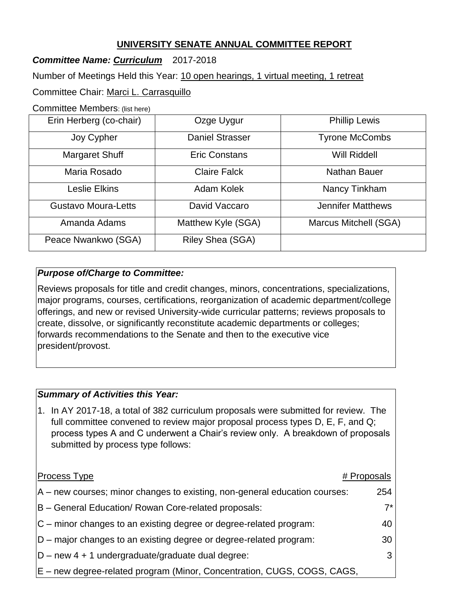# **UNIVERSITY SENATE ANNUAL COMMITTEE REPORT**

## *Committee Name: Curriculum* 2017-2018

Number of Meetings Held this Year: 10 open hearings, 1 virtual meeting, 1 retreat

Committee Chair: Marci L. Carrasquillo

Committee Members: (list here)

| Erin Herberg (co-chair)    | Ozge Uygur             | <b>Phillip Lewis</b>     |
|----------------------------|------------------------|--------------------------|
| Joy Cypher                 | <b>Daniel Strasser</b> | <b>Tyrone McCombs</b>    |
| <b>Margaret Shuff</b>      | Eric Constans          | <b>Will Riddell</b>      |
| Maria Rosado               | <b>Claire Falck</b>    | Nathan Bauer             |
| Leslie Elkins              | Adam Kolek             | Nancy Tinkham            |
| <b>Gustavo Moura-Letts</b> | David Vaccaro          | <b>Jennifer Matthews</b> |
| Amanda Adams               | Matthew Kyle (SGA)     | Marcus Mitchell (SGA)    |
| Peace Nwankwo (SGA)        | Riley Shea (SGA)       |                          |

### *Purpose of/Charge to Committee:*

Reviews proposals for title and credit changes, minors, concentrations, specializations, major programs, courses, certifications, reorganization of academic department/college offerings, and new or revised University-wide curricular patterns; reviews proposals to create, dissolve, or significantly reconstitute academic departments or colleges; forwards recommendations to the Senate and then to the executive vice president/provost.

### *Summary of Activities this Year:*

1. In AY 2017-18, a total of 382 curriculum proposals were submitted for review. The full committee convened to review major proposal process types D, E, F, and Q; process types A and C underwent a Chair's review only. A breakdown of proposals submitted by process type follows:

| <b>Process Type</b>                                                            | # Proposals |
|--------------------------------------------------------------------------------|-------------|
| $ A - new courses$ ; minor changes to existing, non-general education courses: | 254         |
| B - General Education/ Rowan Core-related proposals:                           | $7^{\star}$ |
| $ C - m $ minor changes to an existing degree or degree-related program:       | 40          |
| $ D - m$ ajor changes to an existing degree or degree-related program:         | 30          |
| $ D - new 4 + 1$ undergraduate/graduate dual degree:                           | 3           |
| E – new degree-related program (Minor, Concentration, CUGS, COGS, CAGS,        |             |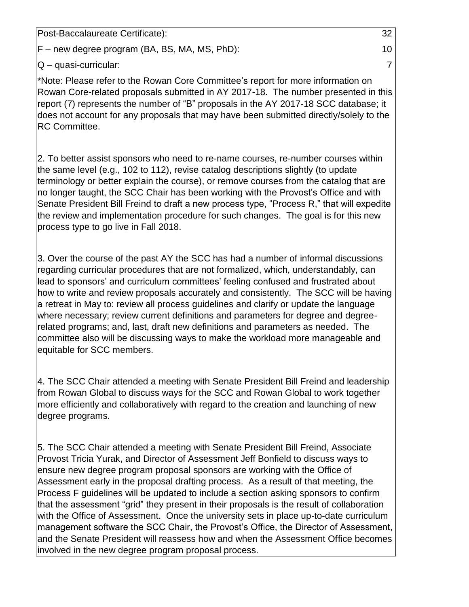Post-Baccalaureate Certificate): 32

F – new degree program (BA, BS, MA, MS, PhD): 10

Q – quasi-curricular: 7

\*Note: Please refer to the Rowan Core Committee's report for more information on Rowan Core-related proposals submitted in AY 2017-18. The number presented in this report (7) represents the number of "B" proposals in the AY 2017-18 SCC database; it does not account for any proposals that may have been submitted directly/solely to the RC Committee.

2. To better assist sponsors who need to re-name courses, re-number courses within the same level (e.g., 102 to 112), revise catalog descriptions slightly (to update terminology or better explain the course), or remove courses from the catalog that are no longer taught, the SCC Chair has been working with the Provost's Office and with Senate President Bill Freind to draft a new process type, "Process R," that will expedite the review and implementation procedure for such changes. The goal is for this new process type to go live in Fall 2018.

3. Over the course of the past AY the SCC has had a number of informal discussions regarding curricular procedures that are not formalized, which, understandably, can lead to sponsors' and curriculum committees' feeling confused and frustrated about how to write and review proposals accurately and consistently. The SCC will be having a retreat in May to: review all process guidelines and clarify or update the language where necessary; review current definitions and parameters for degree and degreerelated programs; and, last, draft new definitions and parameters as needed. The committee also will be discussing ways to make the workload more manageable and equitable for SCC members.

4. The SCC Chair attended a meeting with Senate President Bill Freind and leadership from Rowan Global to discuss ways for the SCC and Rowan Global to work together more efficiently and collaboratively with regard to the creation and launching of new degree programs.

5. The SCC Chair attended a meeting with Senate President Bill Freind, Associate Provost Tricia Yurak, and Director of Assessment Jeff Bonfield to discuss ways to ensure new degree program proposal sponsors are working with the Office of Assessment early in the proposal drafting process. As a result of that meeting, the Process F guidelines will be updated to include a section asking sponsors to confirm that the assessment "grid" they present in their proposals is the result of collaboration with the Office of Assessment. Once the university sets in place up-to-date curriculum management software the SCC Chair, the Provost's Office, the Director of Assessment, and the Senate President will reassess how and when the Assessment Office becomes involved in the new degree program proposal process.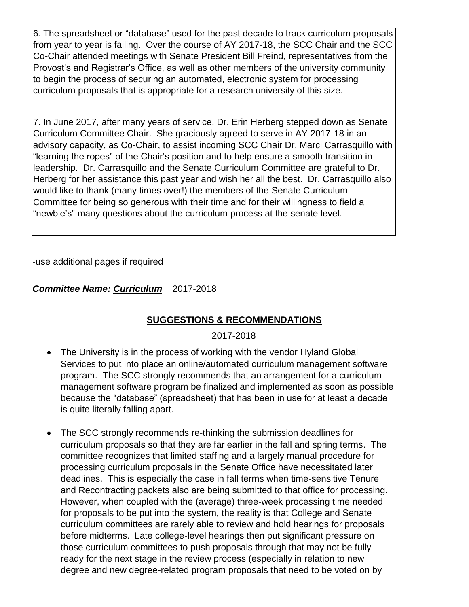6. The spreadsheet or "database" used for the past decade to track curriculum proposals from year to year is failing. Over the course of AY 2017-18, the SCC Chair and the SCC Co-Chair attended meetings with Senate President Bill Freind, representatives from the Provost's and Registrar's Office, as well as other members of the university community to begin the process of securing an automated, electronic system for processing curriculum proposals that is appropriate for a research university of this size.

7. In June 2017, after many years of service, Dr. Erin Herberg stepped down as Senate Curriculum Committee Chair. She graciously agreed to serve in AY 2017-18 in an advisory capacity, as Co-Chair, to assist incoming SCC Chair Dr. Marci Carrasquillo with "learning the ropes" of the Chair's position and to help ensure a smooth transition in leadership. Dr. Carrasquillo and the Senate Curriculum Committee are grateful to Dr. Herberg for her assistance this past year and wish her all the best. Dr. Carrasquillo also would like to thank (many times over!) the members of the Senate Curriculum Committee for being so generous with their time and for their willingness to field a "newbie's" many questions about the curriculum process at the senate level.

-use additional pages if required

### *Committee Name: Curriculum* 2017-2018

## **SUGGESTIONS & RECOMMENDATIONS**

#### 2017-2018

- The University is in the process of working with the vendor Hyland Global Services to put into place an online/automated curriculum management software program. The SCC strongly recommends that an arrangement for a curriculum management software program be finalized and implemented as soon as possible because the "database" (spreadsheet) that has been in use for at least a decade is quite literally falling apart.
- The SCC strongly recommends re-thinking the submission deadlines for curriculum proposals so that they are far earlier in the fall and spring terms. The committee recognizes that limited staffing and a largely manual procedure for processing curriculum proposals in the Senate Office have necessitated later deadlines. This is especially the case in fall terms when time-sensitive Tenure and Recontracting packets also are being submitted to that office for processing. However, when coupled with the (average) three-week processing time needed for proposals to be put into the system, the reality is that College and Senate curriculum committees are rarely able to review and hold hearings for proposals before midterms. Late college-level hearings then put significant pressure on those curriculum committees to push proposals through that may not be fully ready for the next stage in the review process (especially in relation to new degree and new degree-related program proposals that need to be voted on by